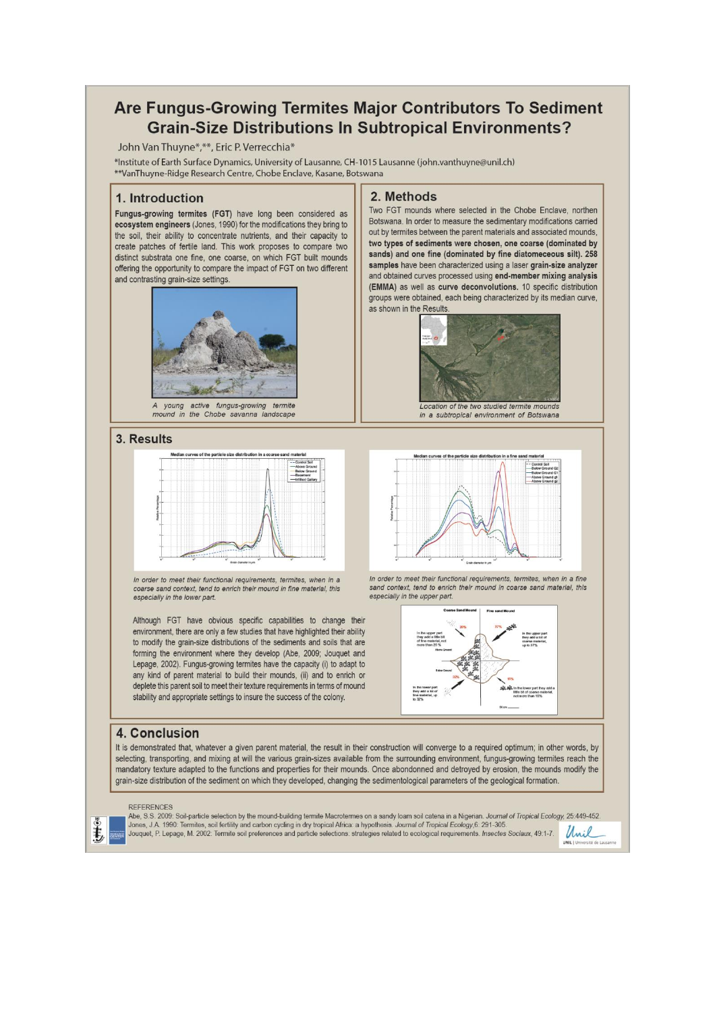## Are Fungus-Growing Termites Major Contributors To Sediment **Grain-Size Distributions In Subtropical Environments?**

John Van Thuyne<sup>\*</sup>,\*\*, Eric P. Verrecchia\*

\*Institute of Earth Surface Dynamics, University of Lausanne, CH-1015 Lausanne (john.vanthuyne@unil.ch) \*\*VanThuyne-Ridge Research Centre, Chobe Enclave, Kasane, Botswana

#### 1. Introduction

Fungus-growing termites (FGT) have long been considered as ecosystem engineers (Jones, 1990) for the modifications they bring to the soil, their ability to concentrate nutrients, and their capacity to create patches of fertile land. This work proposes to compare two distinct substrata one fine, one coarse, on which FGT built mounds offering the opportunity to compare the impact of FGT on two different and contrasting grain-size settings



mound in the Chobe savanna landscape

#### 3. Results



In order to meet their functional requirements, termites, when in a coarse sand context, tend to enrich their mound in fine material, this especially in the lower part.

Although FGT have obvious specific capabilities to change their environment, there are only a few studies that have highlighted their ability to modify the grain-size distributions of the sediments and soils that are forming the environment where they develop (Abe, 2009; Jouquet and Lepage, 2002). Fungus-growing termites have the capacity (i) to adapt to any kind of parent material to build their mounds, (ii) and to enrich or deplete this parent soil to meet their texture requirements in terms of mound stability and appropriate settings to insure the success of the colony.

#### 2. Methods

Two FGT mounds where selected in the Chobe Enclave, northen Botswana. In order to measure the sedimentary modifications carried out by termites between the parent materials and associated mounds, two types of sediments were chosen, one coarse (dominated by sands) and one fine (dominated by fine diatomeceous silt). 258 samples have been characterized using a laser grain-size analyzer and obtained curves processed using end-member mixing analysis (EMMA) as well as curve deconvolutions. 10 specific distribution groups were obtained, each being characterized by its median curve, as shown in the Results





In order to meet their functional requirements, termites, when in a fine sand context, tend to enrich their mound in coarse sand material, this especially in the upper part.



### 4. Conclusion

It is demonstrated that, whatever a given parent material, the result in their construction will converge to a required optimum; in other words, by selecting, transporting, and mixing at will the various grain-sizes available from the surrounding environment, fungus-growing termites reach the mandatory texture adapted to the functions and properties for their mounds. Once abondonned and detroyed by erosion, the mounds modify the grain-size distribution of the sediment on which they developed, changing the sedimentological parameters of the geological formation.

ŧ,

Abe, S.S. 2009: Soil-particle selection by the mound-building termite Macrotermes on a sandy loam soil catena in a Nigerian. Journal of Tropical Ecology, 25:449-452.<br>Jones, J.A. 1990: Termites, soil fertility and carbon cy